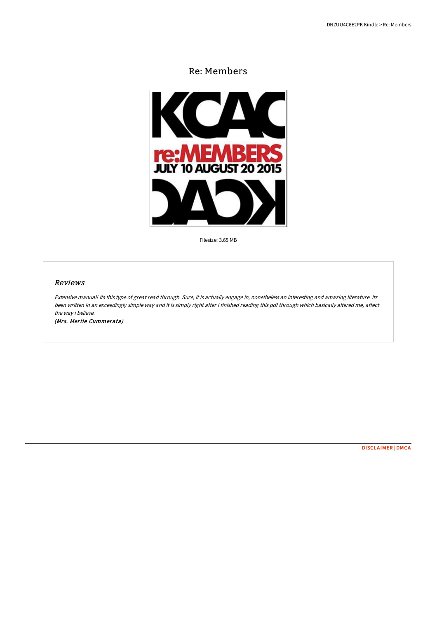# Re: Members



Filesize: 3.65 MB

# Reviews

Extensive manual! Its this type of great read through. Sure, it is actually engage in, nonetheless an interesting and amazing literature. Its been written in an exceedingly simple way and it is simply right after i finished reading this pdf through which basically altered me, affect the way i believe.

(Mrs. Mertie Cummerata)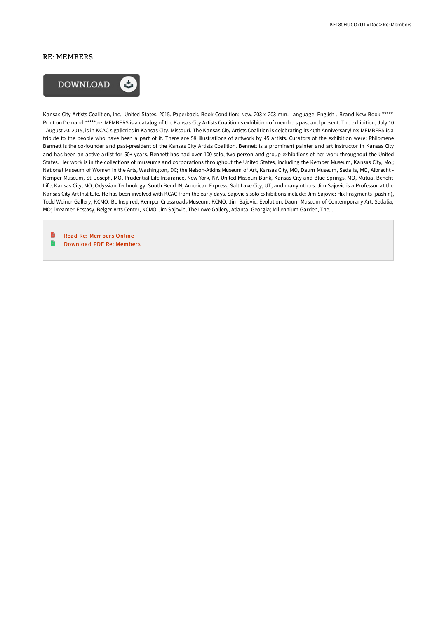# RE: MEMBERS



Kansas City Artists Coalition, Inc., United States, 2015. Paperback. Book Condition: New. 203 x 203 mm. Language: English . Brand New Book \*\*\*\*\* Print on Demand \*\*\*\*\*.re: MEMBERS is a catalog of the Kansas City Artists Coalition s exhibition of members past and present. The exhibition, July 10 - August 20, 2015, is in KCAC s galleries in Kansas City, Missouri. The Kansas City Artists Coalition is celebrating its 40th Anniversary! re: MEMBERS is a tribute to the people who have been a part of it. There are 58 illustrations of artwork by 45 artists. Curators of the exhibition were: Philomene Bennett is the co-founder and past-president of the Kansas City Artists Coalition. Bennett is a prominent painter and art instructor in Kansas City and has been an active artist for 50+ years. Bennett has had over 100 solo, two-person and group exhibitions of her work throughout the United States. Her work is in the collections of museums and corporations throughout the United States, including the Kemper Museum, Kansas City, Mo.; National Museum of Women in the Arts, Washington, DC; the Nelson-Atkins Museum of Art, Kansas City, MO, Daum Museum, Sedalia, MO, Albrecht - Kemper Museum, St. Joseph, MO, Prudential Life Insurance, New York, NY, United Missouri Bank, Kansas City and Blue Springs, MO, Mutual Benefit Life, Kansas City, MO, Odyssian Technology, South Bend IN, American Express, Salt Lake City, UT; and many others. Jim Sajovic is a Professor at the Kansas City Art Institute. He has been involved with KCAC from the early days. Sajovic s solo exhibitions include: Jim Sajovic: Hix Fragments (pash n), Todd Weiner Gallery, KCMO: Be Inspired, Kemper Crossroads Museum: KCMO. Jim Sajovic: Evolution, Daum Museum of Contemporary Art, Sedalia, MO; Dreamer-Ecstasy, Belger Arts Center, KCMO Jim Sajovic, The Lowe Gallery, Atlanta, Georgia; Millennium Garden, The...

B Read Re: [Member](http://bookera.tech/re-members-paperback.html)s Online e [Download](http://bookera.tech/re-members-paperback.html) PDF Re: Member s